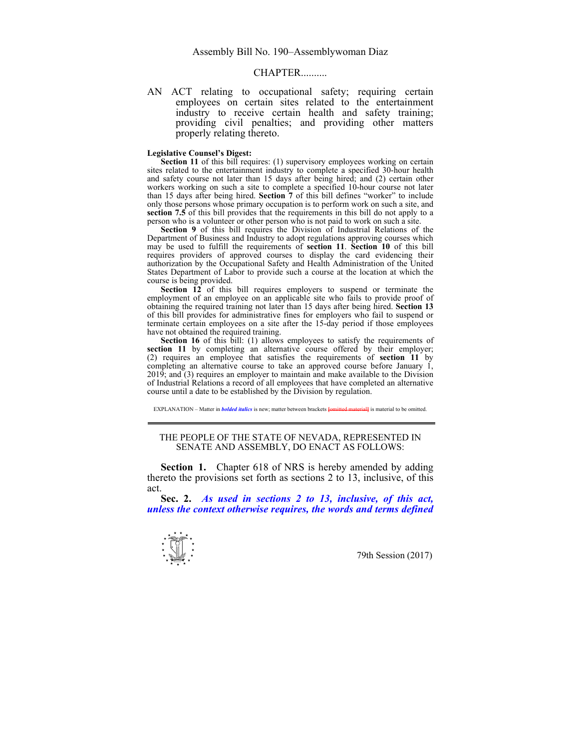## $CHAPTER$

AN ACT relating to occupational safety; requiring certain employees on certain sites related to the entertainment industry to receive certain health and safety training; providing civil penalties; and providing other matters properly relating thereto.

## **Legislative Counsel's Digest:**

**Section 11** of this bill requires: (1) supervisory employees working on certain sites related to the entertainment industry to complete a specified 30-hour health and safety course not later than 15 days after being hired; and (2) certain other workers working on such a site to complete a specified 10-hour course not later than 15 days after being hired. **Section 7** of this bill defines "worker" to include only those persons whose primary occupation is to perform work on such a site, and **section 7.5** of this bill provides that the requirements in this bill do not apply to a person who is a volunteer or other person who is not paid to work on such a site.

Section 9 of this bill requires the Division of Industrial Relations of the Department of Business and Industry to adopt regulations approving courses which may be used to fulfill the requirements of **section 11**. **Section 10** of this bill requires providers of approved courses to display the card evidencing their authorization by the Occupational Safety and Health Administration of the United States Department of Labor to provide such a course at the location at which the course is being provided.

**Section 12** of this bill requires employers to suspend or terminate the employment of an employee on an applicable site who fails to provide proof of obtaining the required training not later than 15 days after being hired. **Section 13** of this bill provides for administrative fines for employers who fail to suspend or terminate certain employees on a site after the 15-day period if those employees have not obtained the required training.

**Section 16** of this bill: (1) allows employees to satisfy the requirements of **section 11** by completing an alternative course offered by their employer; (2) requires an employee that satisfies the requirements of **section 11** by completing an alternative course to take an approved course before January 1,  $2019$ ; and  $(3)$  requires an employer to maintain and make available to the Division of Industrial Relations a record of all employees that have completed an alternative course until a date to be established by the Division by regulation.

EXPLANATION – Matter in *bolded italics* is new; matter between brackets **[**omitted material**]** is material to be omitted.

## THE PEOPLE OF THE STATE OF NEVADA, REPRESENTED IN SENATE AND ASSEMBLY, DO ENACT AS FOLLOWS:

**Section 1.** Chapter 618 of NRS is hereby amended by adding thereto the provisions set forth as sections 2 to 13, inclusive, of this act.

 **Sec. 2.** *As used in sections 2 to 13, inclusive, of this act, unless the context otherwise requires, the words and terms defined* 

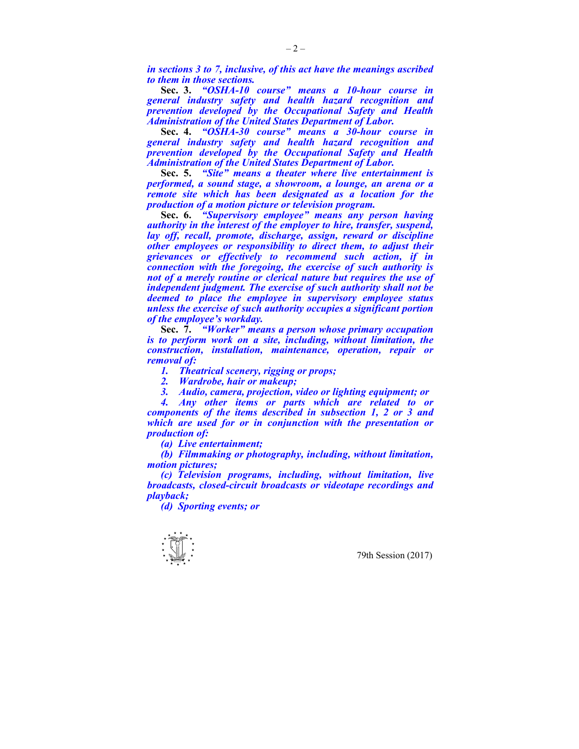*in sections 3 to 7, inclusive, of this act have the meanings ascribed to them in those sections.* 

 **Sec. 3.** *"OSHA-10 course" means a 10-hour course in general industry safety and health hazard recognition and prevention developed by the Occupational Safety and Health Administration of the United States Department of Labor.* 

 **Sec. 4.** *"OSHA-30 course" means a 30-hour course in general industry safety and health hazard recognition and prevention developed by the Occupational Safety and Health Administration of the United States Department of Labor.* 

 **Sec. 5.** *"Site" means a theater where live entertainment is performed, a sound stage, a showroom, a lounge, an arena or a remote site which has been designated as a location for the production of a motion picture or television program.* 

 **Sec. 6.** *"Supervisory employee" means any person having authority in the interest of the employer to hire, transfer, suspend, lay off, recall, promote, discharge, assign, reward or discipline other employees or responsibility to direct them, to adjust their grievances or effectively to recommend such action, if in connection with the foregoing, the exercise of such authority is not of a merely routine or clerical nature but requires the use of independent judgment. The exercise of such authority shall not be deemed to place the employee in supervisory employee status unless the exercise of such authority occupies a significant portion of the employee's workday.* 

 **Sec. 7.** *"Worker" means a person whose primary occupation is to perform work on a site, including, without limitation, the construction, installation, maintenance, operation, repair or removal of:* 

 *1. Theatrical scenery, rigging or props;* 

 *2. Wardrobe, hair or makeup;* 

 *3. Audio, camera, projection, video or lighting equipment; or* 

 *4. Any other items or parts which are related to or components of the items described in subsection 1, 2 or 3 and which are used for or in conjunction with the presentation or production of:* 

 *(a) Live entertainment;* 

 *(b) Filmmaking or photography, including, without limitation, motion pictures;* 

 *(c) Television programs, including, without limitation, live broadcasts, closed-circuit broadcasts or videotape recordings and playback;* 

 *(d) Sporting events; or* 

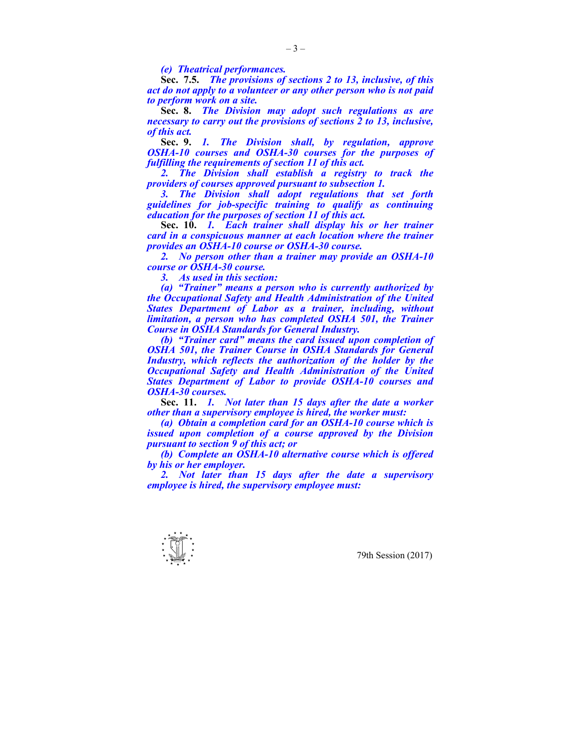*(e) Theatrical performances.* 

 **Sec. 7.5.** *The provisions of sections 2 to 13, inclusive, of this act do not apply to a volunteer or any other person who is not paid to perform work on a site.* 

 **Sec. 8.** *The Division may adopt such regulations as are necessary to carry out the provisions of sections 2 to 13, inclusive, of this act.* 

 **Sec. 9.** *1. The Division shall, by regulation, approve OSHA-10 courses and OSHA-30 courses for the purposes of fulfilling the requirements of section 11 of this act.* 

 *2. The Division shall establish a registry to track the providers of courses approved pursuant to subsection 1.* 

 *3. The Division shall adopt regulations that set forth guidelines for job-specific training to qualify as continuing education for the purposes of section 11 of this act.* 

 **Sec. 10.** *1. Each trainer shall display his or her trainer card in a conspicuous manner at each location where the trainer provides an OSHA-10 course or OSHA-30 course.* 

 *2. No person other than a trainer may provide an OSHA-10 course or OSHA-30 course.* 

 *3. As used in this section:* 

 *(a) "Trainer" means a person who is currently authorized by the Occupational Safety and Health Administration of the United States Department of Labor as a trainer, including, without limitation, a person who has completed OSHA 501, the Trainer Course in OSHA Standards for General Industry.* 

 *(b) "Trainer card" means the card issued upon completion of OSHA 501, the Trainer Course in OSHA Standards for General Industry, which reflects the authorization of the holder by the Occupational Safety and Health Administration of the United States Department of Labor to provide OSHA-10 courses and OSHA-30 courses.* 

 **Sec. 11.** *1. Not later than 15 days after the date a worker other than a supervisory employee is hired, the worker must:* 

 *(a) Obtain a completion card for an OSHA-10 course which is issued upon completion of a course approved by the Division pursuant to section 9 of this act; or* 

 *(b) Complete an OSHA-10 alternative course which is offered by his or her employer.* 

 *2. Not later than 15 days after the date a supervisory employee is hired, the supervisory employee must:* 

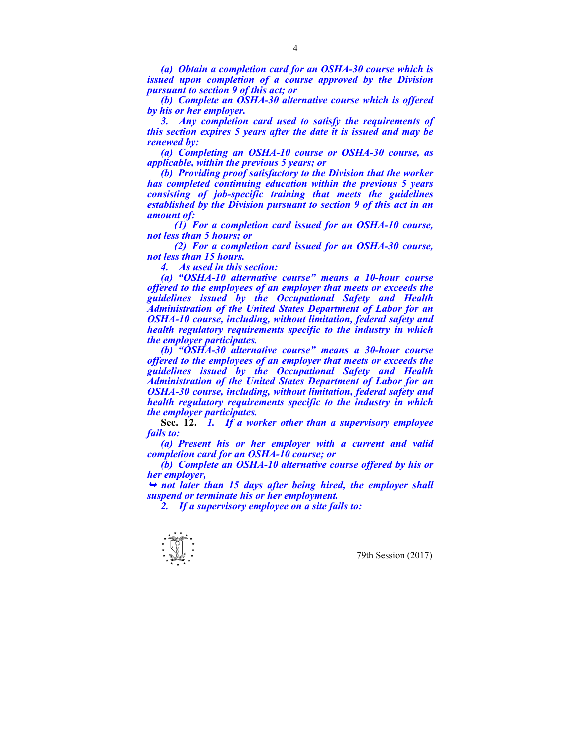*(a) Obtain a completion card for an OSHA-30 course which is issued upon completion of a course approved by the Division pursuant to section 9 of this act; or* 

 *(b) Complete an OSHA-30 alternative course which is offered by his or her employer.* 

 *3. Any completion card used to satisfy the requirements of this section expires 5 years after the date it is issued and may be renewed by:* 

 *(a) Completing an OSHA-10 course or OSHA-30 course, as applicable, within the previous 5 years; or* 

 *(b) Providing proof satisfactory to the Division that the worker has completed continuing education within the previous 5 years consisting of job-specific training that meets the guidelines established by the Division pursuant to section 9 of this act in an amount of:* 

 *(1) For a completion card issued for an OSHA-10 course, not less than 5 hours; or* 

 *(2) For a completion card issued for an OSHA-30 course, not less than 15 hours.* 

 *4. As used in this section:* 

 *(a) "OSHA-10 alternative course" means a 10-hour course offered to the employees of an employer that meets or exceeds the guidelines issued by the Occupational Safety and Health Administration of the United States Department of Labor for an OSHA-10 course, including, without limitation, federal safety and health regulatory requirements specific to the industry in which the employer participates.* 

 *(b) "OSHA-30 alternative course" means a 30-hour course offered to the employees of an employer that meets or exceeds the guidelines issued by the Occupational Safety and Health Administration of the United States Department of Labor for an OSHA-30 course, including, without limitation, federal safety and health regulatory requirements specific to the industry in which the employer participates.* 

 **Sec. 12.** *1. If a worker other than a supervisory employee fails to:* 

 *(a) Present his or her employer with a current and valid completion card for an OSHA-10 course; or* 

 *(b) Complete an OSHA-10 alternative course offered by his or her employer,* 

<sup>¬</sup> *not later than 15 days after being hired, the employer shall suspend or terminate his or her employment.* 

 *2. If a supervisory employee on a site fails to:* 

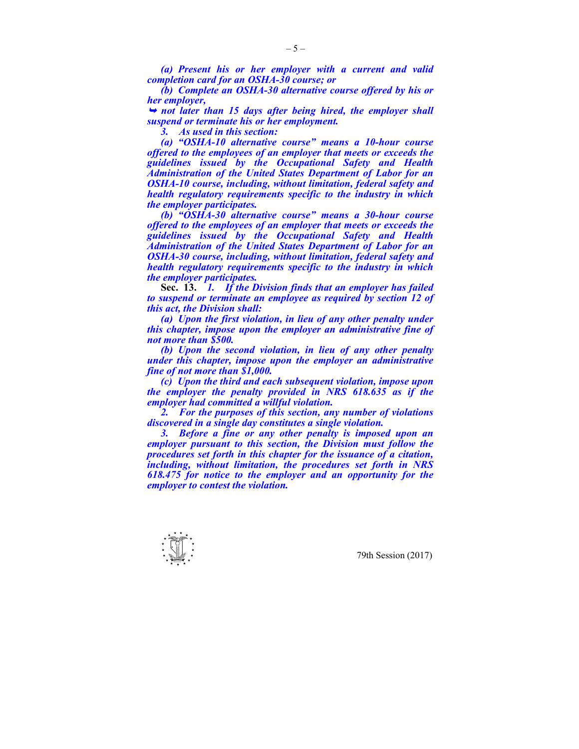*(a) Present his or her employer with a current and valid completion card for an OSHA-30 course; or* 

 *(b) Complete an OSHA-30 alternative course offered by his or her employer,* 

<sup>¬</sup> *not later than 15 days after being hired, the employer shall suspend or terminate his or her employment.* 

 *3. As used in this section:* 

 *(a) "OSHA-10 alternative course" means a 10-hour course offered to the employees of an employer that meets or exceeds the guidelines issued by the Occupational Safety and Health Administration of the United States Department of Labor for an OSHA-10 course, including, without limitation, federal safety and health regulatory requirements specific to the industry in which the employer participates.* 

 *(b) "OSHA-30 alternative course" means a 30-hour course offered to the employees of an employer that meets or exceeds the guidelines issued by the Occupational Safety and Health Administration of the United States Department of Labor for an OSHA-30 course, including, without limitation, federal safety and health regulatory requirements specific to the industry in which the employer participates.* 

 **Sec. 13.** *1. If the Division finds that an employer has failed to suspend or terminate an employee as required by section 12 of this act, the Division shall:* 

 *(a) Upon the first violation, in lieu of any other penalty under this chapter, impose upon the employer an administrative fine of not more than \$500.* 

 *(b) Upon the second violation, in lieu of any other penalty under this chapter, impose upon the employer an administrative fine of not more than \$1,000.* 

 *(c) Upon the third and each subsequent violation, impose upon the employer the penalty provided in NRS 618.635 as if the employer had committed a willful violation.* 

 *2. For the purposes of this section, any number of violations discovered in a single day constitutes a single violation.* 

 *3. Before a fine or any other penalty is imposed upon an employer pursuant to this section, the Division must follow the procedures set forth in this chapter for the issuance of a citation, including, without limitation, the procedures set forth in NRS 618.475 for notice to the employer and an opportunity for the employer to contest the violation.* 

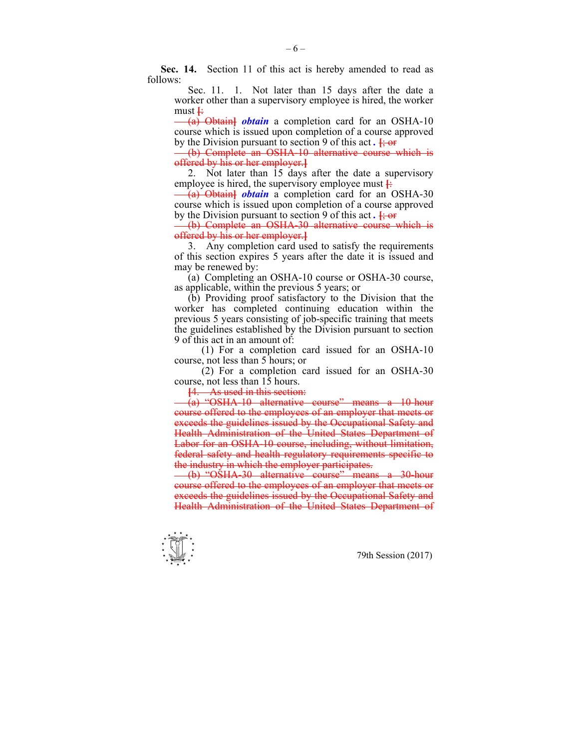**Sec. 14.** Section 11 of this act is hereby amended to read as follows:

 Sec. 11. 1. Not later than 15 days after the date a worker other than a supervisory employee is hired, the worker must  $\div$ 

 (a) Obtain**]** *obtain* a completion card for an OSHA-10 course which is issued upon completion of a course approved by the Division pursuant to section 9 of this act *.* **[**; or

 (b) Complete an OSHA-10 alternative course which is offered by his or her employer.**]**

 2. Not later than 15 days after the date a supervisory employee is hired, the supervisory employee must  $\frac{1}{\cdot}$ 

 (a) Obtain**]** *obtain* a completion card for an OSHA-30 course which is issued upon completion of a course approved by the Division pursuant to section 9 of this act.  $\frac{1}{2}$  or

 (b) Complete an OSHA-30 alternative course which is offered by his or her employer.**]**

 3. Any completion card used to satisfy the requirements of this section expires 5 years after the date it is issued and may be renewed by:

 (a) Completing an OSHA-10 course or OSHA-30 course, as applicable, within the previous 5 years; or

 (b) Providing proof satisfactory to the Division that the worker has completed continuing education within the previous 5 years consisting of job-specific training that meets the guidelines established by the Division pursuant to section 9 of this act in an amount of:

 (1) For a completion card issued for an OSHA-10 course, not less than 5 hours; or

 (2) For a completion card issued for an OSHA-30 course, not less than 15 hours.

**[**4. As used in this section:

 (a) "OSHA-10 alternative course" means a 10-hour course offered to the employees of an employer that meets or exceeds the guidelines issued by the Occupational Safety and Health Administration of the United States Department of Labor for an OSHA-10 course, including, without limitation, federal safety and health regulatory requirements specific to the industry in which the employer participates.

 (b) "OSHA-30 alternative course" means a 30-hour course offered to the employees of an employer that meets or exceeds the guidelines issued by the Occupational Safety and Health Administration of the United States Department of

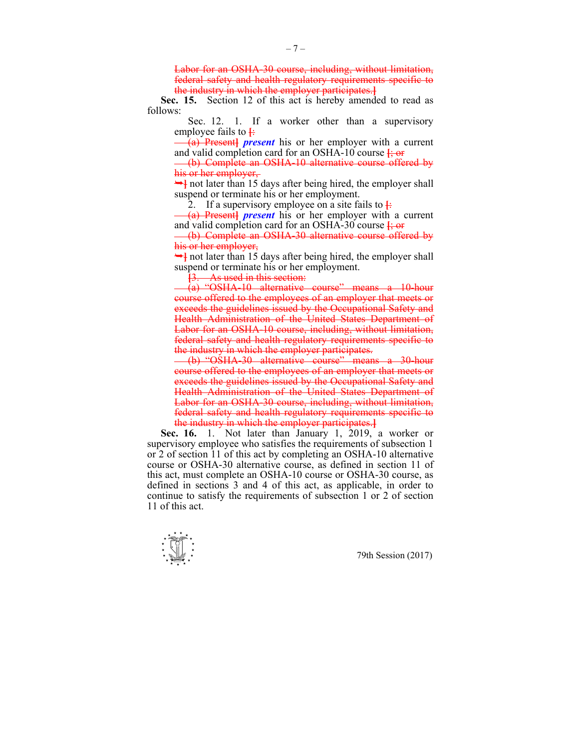Labor for an OSHA-30 course, including, without limitation, federal safety and health regulatory requirements specific to the industry in which the employer participates.**]**

 **Sec. 15.** Section 12 of this act is hereby amended to read as follows:

Sec. 12. 1. If a worker other than a supervisory employee fails to  $\frac{1}{2}$ 

 (a) Present**]** *present* his or her employer with a current and valid completion card for an OSHA-10 course **[**; or

 (b) Complete an OSHA-10 alternative course offered by his or her employer,

 $\rightarrow$  not later than 15 days after being hired, the employer shall suspend or terminate his or her employment.

2. If a supervisory employee on a site fails to  $\frac{1}{2}$ 

 (a) Present**]** *present* his or her employer with a current and valid completion card for an OSHA-30 course  $\frac{1}{2}$  or

 (b) Complete an OSHA-30 alternative course offered by his or her employer,

 $\rightarrow$ **]** not later than 15 days after being hired, the employer shall suspend or terminate his or her employment.

**[**3. As used in this section:

 (a) "OSHA-10 alternative course" means a 10-hour course offered to the employees of an employer that meets or exceeds the guidelines issued by the Occupational Safety and Health Administration of the United States Department of Labor for an OSHA-10 course, including, without limitation, federal safety and health regulatory requirements specific to the industry in which the employer participates.

 (b) "OSHA-30 alternative course" means a 30-hour course offered to the employees of an employer that meets or exceeds the guidelines issued by the Occupational Safety and Health Administration of the United States Department of Labor for an OSHA-30 course, including, without limitation, federal safety and health regulatory requirements specific to the industry in which the employer participates.**]**

 **Sec. 16.** 1. Not later than January 1, 2019, a worker or supervisory employee who satisfies the requirements of subsection 1 or 2 of section 11 of this act by completing an OSHA-10 alternative course or OSHA-30 alternative course, as defined in section 11 of this act, must complete an OSHA-10 course or OSHA-30 course, as defined in sections 3 and 4 of this act, as applicable, in order to continue to satisfy the requirements of subsection 1 or 2 of section 11 of this act.